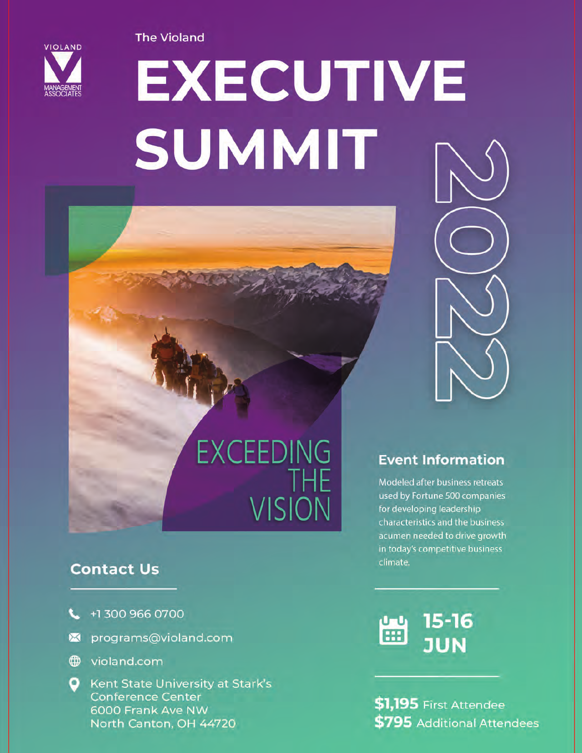**The Violand** 



# **EXECUTIVE** SUMMIT



# EXCEEDING **VISION**

# **Contact Us**

- $13009660700$
- programs@violand.com  $\boxtimes$
- wioland.com
- Kent State University at Stark's **Conference Center** 6000 Frank Ave NW North Canton, OH 44720

# **Event Information**

Modeled after business retreats used by Fortune 500 companies for developing leadership characteristics and the business acumen needed to drive growth in today's competitive business climate.



\$1,195 First Attendee \$795 Additional Attendees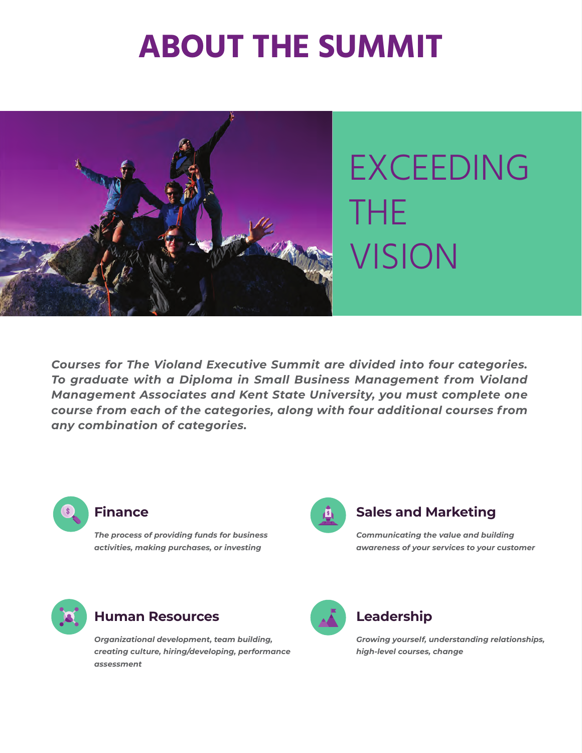# **ABOUT THE SUMMIT**



# EXCEEDING THE VISION

*Courses for The Violand Executive Summit are divided into four categories. To graduate with a Diploma in Small Business Management from Violand Management Associates and Kent State University, you must complete one course from each of the categories, along with four additional courses from any combination of categories.*



#### **Finance**

*The process of providing funds for business activities, making purchases, or investing*

# **Sales and Marketing**

*Communicating the value and building awareness of your services to your customer*



#### **Human Resources**

*Organizational development, team building, creating culture, hiring/developing, performance assessment*

# **Leadership**

*Growing yourself, understanding relationships, high-level courses, change*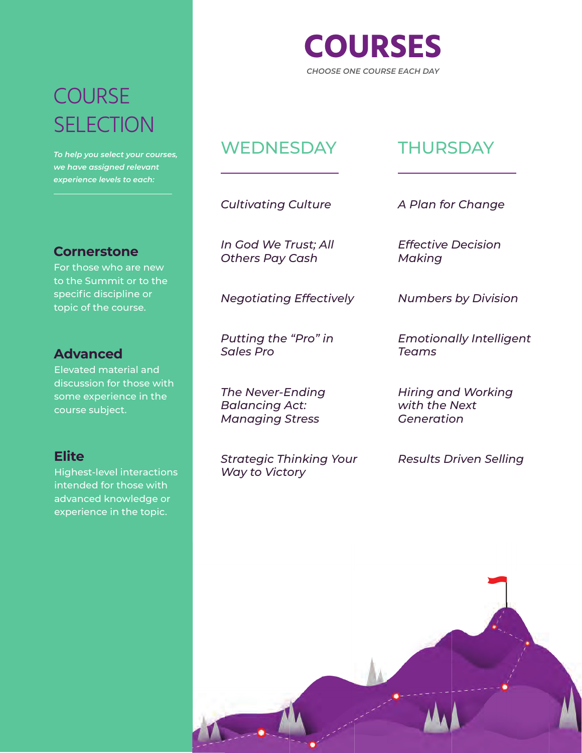# **COURSE SELECTION**

*To help you select your courses, we have assigned relevant experience levels to each:*

### **Cornerstone**

For those who are new to the Summit or to the specific discipline or topic of the course.

### **Advanced**

Elevated material and discussion for those with some experience in the course subject.

# **Elite**

Highest-level interactions intended for those with advanced knowledge or experience in the topic.

# **COURSES** *CHOOSE ONE COURSE EACH DAY*

# WEDNESDAY THURSDAY

*Cultivating Culture*

*In God We Trust; All Others Pay Cash*

*Negotiating Effectively*

*Putting the "Pro" in Sales Pro*

*The Never-Ending Balancing Act: Managing Stress* 

*Strategic Thinking Your Way to Victory*

#### *A Plan for Change*

*Effective Decision Making*

*Numbers by Division* 

*Emotionally Intelligent Teams*

*Hiring and Working with the Next Generation*

*Results Driven Selling*

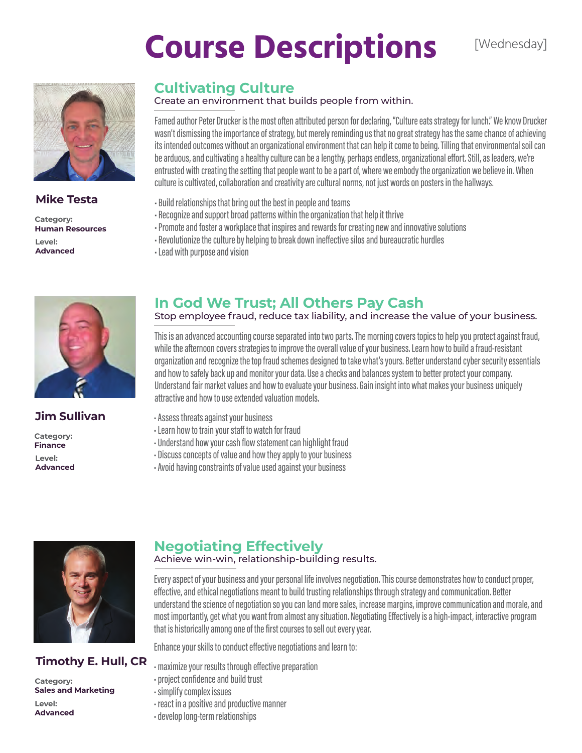

### **Mike Testa**

**Category: Human Resources Level: Advanced**

# **Cultivating Culture**

Create an environment that builds people from within.

Famed author Peter Drucker is the most often attributed person for declaring, "Culture eats strategy for lunch." We know Drucker wasn't dismissing the importance of strategy, but merely reminding us that no great strategy has the same chance of achieving its intended outcomes without an organizational environment that can help it come to being. Tilling that environmental soil can be arduous, and cultivating a healthy culture can be a lengthy, perhaps endless, organizational effort. Still, as leaders, we're entrusted with creating the setting that people want to be a part of, where we embody the organization we believe in. When culture is cultivated, collaboration and creativity are cultural norms, not just words on posters in the hallways.

- Build relationships that bring out the best in people and teams
- Recognize and support broad patterns within the organization that help it thrive
- Promote and foster a workplace that inspires and rewards for creating new and innovative solutions
- Revolutionize the culture by helping to break down ineffective silos and bureaucratic hurdles
- Lead with purpose and vision



### **Jim Sullivan**

#### **Category: Finance Level: Advanced**

# **In God We Trust; All Others Pay Cash**

Stop employee fraud, reduce tax liability, and increase the value of your business.

This is an advanced accounting course separated into two parts. The morning covers topics to help you protect against fraud, while the afternoon covers strategies to improve the overall value of your business. Learn how to build a fraud-resistant organization and recognize the top fraud schemes designed to take what's yours. Better understand cyber security essentials and how to safely back up and monitor your data. Use a checks and balances system to better protect your company. Understand fair market values and how to evaluate your business. Gain insight into what makes your business uniquely attractive and how to use extended valuation models.

- Assess threats against your business
- Learn how to train your staff to watch for fraud
- Understand how your cash flow statement can highlight fraud
- Discuss concepts of value and how they apply to your business
- Avoid having constraints of value used against your business



# **Timothy E. Hull, CR**

**Category: Sales and Marketing Level: Advanced**

# **Negotiating Effectively**

#### Achieve win-win, relationship-building results.

Every aspect of your business and your personal life involves negotiation. This course demonstrates how to conduct proper, effective, and ethical negotiations meant to build trusting relationships through strategy and communication. Better understand the science of negotiation so you can land more sales, increase margins, improve communication and morale, and most importantly, get what you want from almost any situation. Negotiating Effectively is a high-impact, interactive program that is historically among one of the first courses to sell out every year.

Enhance your skills to conduct effective negotiations and learn to:

• maximize your results through effective preparation

- project confidence and build trust
- simplify complex issues
- react in a positive and productive manner
- develop long-term relationships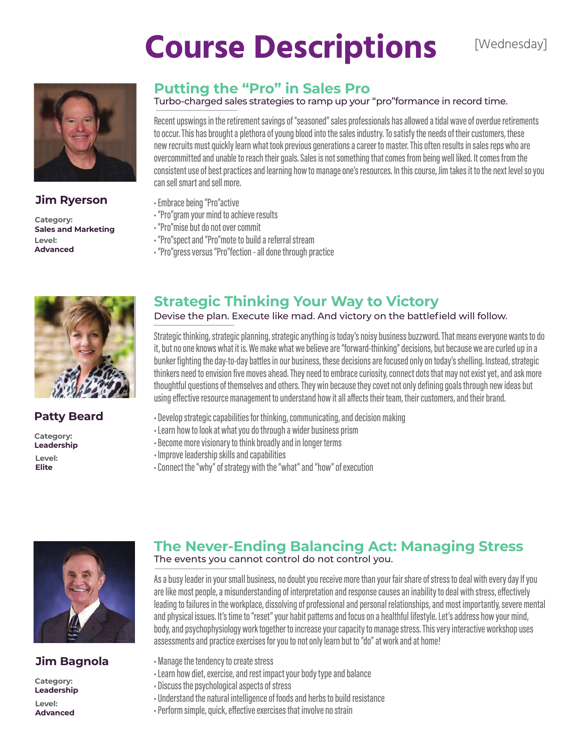

### **Jim Ryerson**

#### **Category: Sales and Marketing Level: Advanced**

# **Putting the "Pro" in Sales Pro**

#### Turbo-charged sales strategies to ramp up your "pro"formance in record time.

Recent upswings in the retirement savings of "seasoned" sales professionals has allowed a tidal wave of overdue retirements to occur. This has brought a plethora of young blood into the sales industry. To satisfy the needs of their customers, these new recruits must quickly learn what took previous generations a career to master. This often results in sales reps who are overcommitted and unable to reach their goals. Sales is not something that comes from being well liked. It comes from the consistent use of best practices and learning how to manage one's resources. In this course, Jim takes it to the next level so you can sell smart and sell more.

- Embrace being "Pro"active
- "Pro"gram your mind to achieve results
- "Pro"mise but do not over commit
- "Pro"spect and "Pro"mote to build a referral stream
- "Pro"gress versus "Pro"fection all done through practice



#### **Patty Beard**

**Category: Leadership**

**Level: Elite**

# **Strategic Thinking Your Way to Victory**

#### Devise the plan. Execute like mad. And victory on the battlefield will follow.

Strategic thinking, strategic planning, strategic anything is today's noisy business buzzword. That means everyone wants to do it, but no one knows what it is. We make what we believe are "forward-thinking" decisions, but because we are curled up in a bunker fighting the day-to-day battles in our business, these decisions are focused only on today's shelling. Instead, strategic thinkers need to envision five moves ahead. They need to embrace curiosity, connect dots that may not exist yet, and ask more thoughtful questions of themselves and others. They win because they covet not only defining goals through new ideas but using effective resource management to understand how it all affects their team, their customers, and their brand.

- Develop strategic capabilities for thinking, communicating, and decision making
- Learn how to look at what you do through a wider business prism
- Become more visionary to think broadly and in longer terms
- Improve leadership skills and capabilities
- Connect the "why" of strategy with the "what" and "how" of execution



#### **Jim Bagnola**

**Category: Leadership Level: Advanced**

# **The Never-Ending Balancing Act: Managing Stress**

The events you cannot control do not control you.

As a busy leader in your small business, no doubt you receive more than your fair share of stress to deal with every day If you are like most people, a misunderstanding of interpretation and response causes an inability to deal with stress, effectively leading to failures in the workplace, dissolving of professional and personal relationships, and most importantly, severe mental and physical issues. It's time to "reset" your habit patterns and focus on a healthful lifestyle. Let's address how your mind, body, and psychophysiology work together to increase your capacity to manage stress. This very interactive workshop uses assessments and practice exercises for you to not only learn but to "do" at work and at home!

- Manage the tendency to create stress
- Learn how diet, exercise, and rest impact your body type and balance
- Discuss the psychological aspects of stress
- Understand the natural intelligence of foods and herbs to build resistance
- Perform simple, quick, effective exercises that involve no strain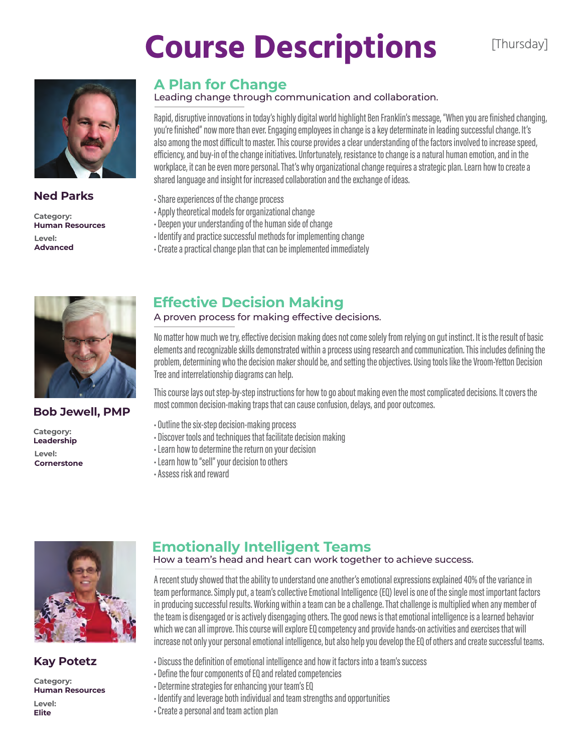

### **Ned Parks**

#### **Category: Human Resources Level: Advanced**

# **A Plan for Change**

Leading change through communication and collaboration.

Rapid, disruptive innovations in today's highly digital world highlight Ben Franklin's message, "When you are finished changing, you're finished" now more than ever. Engaging employees in change is a key determinate in leading successful change. It's also among the most difficult to master. This course provides a clear understanding of the factors involved to increase speed, efficiency, and buy-in of the change initiatives. Unfortunately, resistance to change is a natural human emotion, and in the workplace, it can be even more personal. That's why organizational change requires a strategic plan. Learn how to create a shared language and insight for increased collaboration and the exchange of ideas.

[Thursday]

- Share experiences of the change process
- Apply theoretical models for organizational change
- Deepen your understanding of the human side of change
- Identify and practice successful methods for implementing change
- Create a practical change plan that can be implemented immediately



### **Bob Jewell, PMP**

**Category: Leadership Level: Cornerstone**

# **Effective Decision Making**

#### A proven process for making effective decisions.

No matter how much we try, effective decision making does not come solely from relying on gut instinct. It is the result of basic elements and recognizable skills demonstrated within a process using research and communication. This includes defining the problem, determining who the decision maker should be, and setting the objectives. Using tools like the Vroom-Yetton Decision Tree and interrelationship diagrams can help.

This course lays out step-by-step instructions for how to go about making even the most complicated decisions. It covers the most common decision-making traps that can cause confusion, delays, and poor outcomes.

- Outline the six-step decision-making process
- Discover tools and techniques that facilitate decision making
- Learn how to determine the return on your decision
- Learn how to "sell" your decision to others
- Assess risk and reward



# **Kay Potetz**

**Category: Human Resources**

**Level: Elite**

# **Emotionally Intelligent Teams**

#### How a team's head and heart can work together to achieve success.

A recent study showed that the ability to understand one another's emotional expressions explained 40% of the variance in team performance. Simply put, a team's collective Emotional Intelligence (EQ) level is one of the single most important factors in producing successful results. Working within a team can be a challenge. That challenge is multiplied when any member of the team is disengaged or is actively disengaging others. The good news is that emotional intelligence is a learned behavior which we can all improve. This course will explore EQ competency and provide hands-on activities and exercises that will increase not only your personal emotional intelligence, but also help you develop the EQ of others and create successful teams.

- Discuss the definition of emotional intelligence and how it factors into a team's success
- Define the four components of EQ and related competencies
- Determine strategies for enhancing your team's EQ
- Identify and leverage both individual and team strengths and opportunities
- Create a personal and team action plan